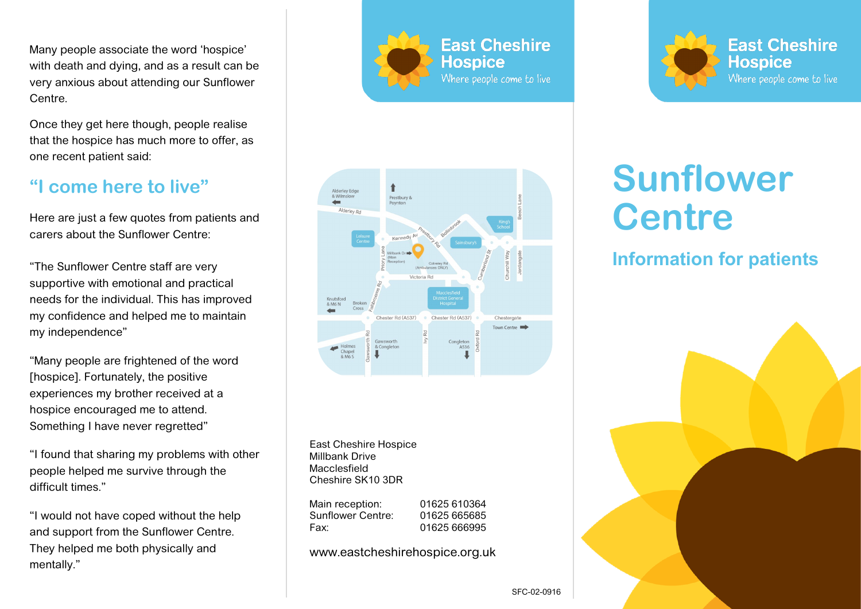Many people associate the word 'hospice' with death and dying, and as a result can be very anxious about attending our Sunflower Centre.

Once they get here though, people realise that the hospice has much more to offer, as one recent patient said:

## **"I come here to live"**

Here are just a few quotes from patients and carers about the Sunflower Centre:

"The Sunflower Centre staff are very supportive with emotional and practical needs for the individual. This has improved my confidence and helped me to maintain my independence"

"Many people are frightened of the word [hospice]. Fortunately, the positive experiences my brother received at a hospice encouraged me to attend. Something I have never regretted"

"I found that sharing my problems with other people helped me survive through the difficult times."

"I would not have coped without the help and support from the Sunflower Centre. They helped me both physically and mentally."







East Cheshire Hospice Millbank Drive Macclesfield Cheshire SK10 3DR

| 01625 610364 |
|--------------|
| 01625 665685 |
| 01625 666995 |
|              |

www.eastcheshirehospice.org.uk

# **Sunflower Centre**

# **Information for patients**